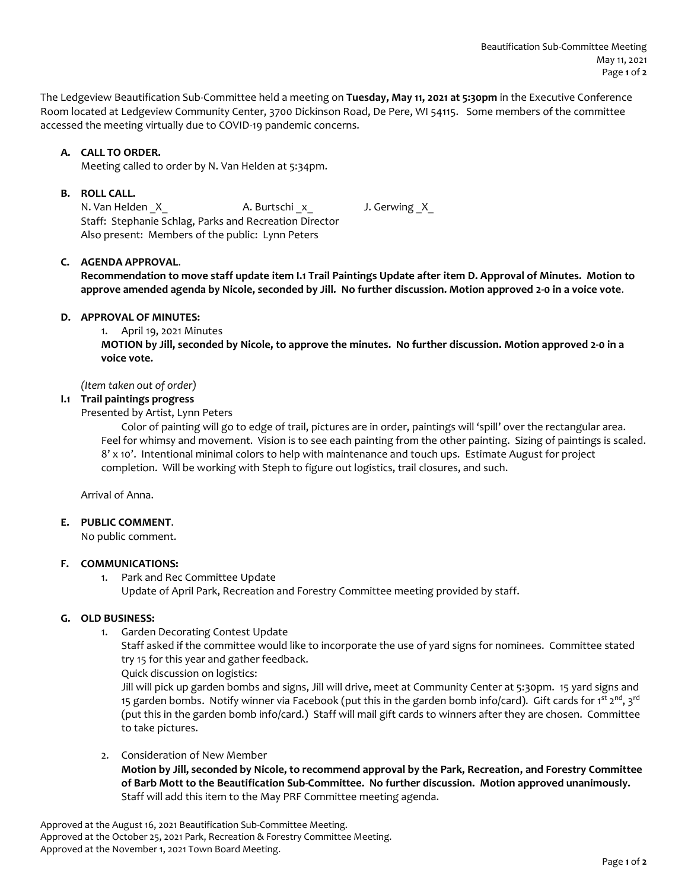The Ledgeview Beautification Sub-Committee held a meeting on **Tuesday, May 11, 2021 at 5:30pm** in the Executive Conference Room located at Ledgeview Community Center, 3700 Dickinson Road, De Pere, WI 54115. Some members of the committee accessed the meeting virtually due to COVID-19 pandemic concerns.

# **A. CALL TO ORDER.**

Meeting called to order by N. Van Helden at 5:34pm.

## **B. ROLL CALL.**

N. Van Helden \_X\_ A. Burtschi \_x\_ J. Gerwing \_X\_ Staff: Stephanie Schlag, Parks and Recreation Director Also present: Members of the public: Lynn Peters

## **C. AGENDA APPROVAL**.

**Recommendation to move staff update item I.1 Trail Paintings Update after item D. Approval of Minutes. Motion to approve amended agenda by Nicole, seconded by Jill. No further discussion. Motion approved 2-0 in a voice vote**.

#### **D. APPROVAL OF MINUTES:**

1. April 19, 2021 Minutes

**MOTION by Jill, seconded by Nicole, to approve the minutes. No further discussion. Motion approved 2-0 in a voice vote.**

*(Item taken out of order)* 

### **I.1 Trail paintings progress**

Presented by Artist, Lynn Peters

Color of painting will go to edge of trail, pictures are in order, paintings will 'spill' over the rectangular area. Feel for whimsy and movement. Vision is to see each painting from the other painting. Sizing of paintings is scaled. 8' x 10'. Intentional minimal colors to help with maintenance and touch ups. Estimate August for project completion. Will be working with Steph to figure out logistics, trail closures, and such.

Arrival of Anna.

## **E. PUBLIC COMMENT**.

No public comment.

#### **F. COMMUNICATIONS:**

1. Park and Rec Committee Update Update of April Park, Recreation and Forestry Committee meeting provided by staff.

### **G. OLD BUSINESS:**

1. Garden Decorating Contest Update

Staff asked if the committee would like to incorporate the use of yard signs for nominees. Committee stated try 15 for this year and gather feedback.

Quick discussion on logistics:

Jill will pick up garden bombs and signs, Jill will drive, meet at Community Center at 5:30pm. 15 yard signs and 15 garden bombs. Notify winner via Facebook (put this in the garden bomb info/card). Gift cards for 1<sup>st</sup> 2<sup>nd</sup>, 3<sup>rd</sup> (put this in the garden bomb info/card.) Staff will mail gift cards to winners after they are chosen. Committee to take pictures.

2. Consideration of New Member **Motion by Jill, seconded by Nicole, to recommend approval by the Park, Recreation, and Forestry Committee of Barb Mott to the Beautification Sub-Committee. No further discussion. Motion approved unanimously.**  Staff will add this item to the May PRF Committee meeting agenda.